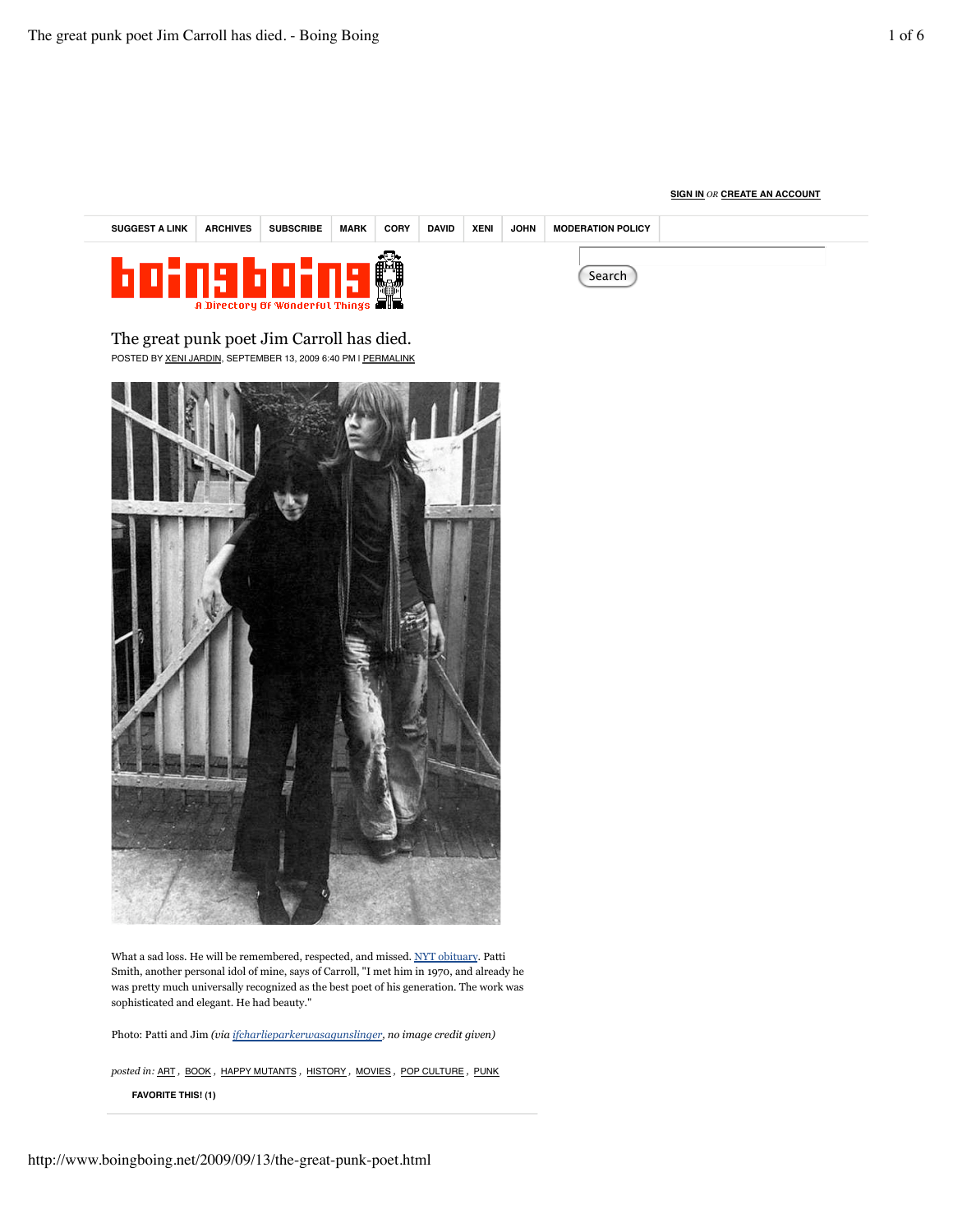## **SIGN IN** *OR* **CREATE AN ACCOUNT**

| <b>SUGGEST A LINK</b>                                          | <b>ARCHIVES</b> | <b>SUBSCRIBE</b> | <b>MARK</b> | <b>CORY</b> | <b>DAVID</b> | <b>XENI</b> | <b>JOHN</b> | <b>MODERATION POLICY</b> |  |  |
|----------------------------------------------------------------|-----------------|------------------|-------------|-------------|--------------|-------------|-------------|--------------------------|--|--|
| нын<br>Search<br><b>A Directory of Wonderful Things all to</b> |                 |                  |             |             |              |             |             |                          |  |  |

The great punk poet Jim Carroll has died. POSTED BY XENI JARDIN, SEPTEMBER 13, 2009 6:40 PM | PERMALINK



What a sad loss. He will be remembered, respected, and missed. NYT obituary. Patti Smith, another personal idol of mine, says of Carroll, "I met him in 1970, and already he was pretty much universally recognized as the best poet of his generation. The work was sophisticated and elegant. He had beauty."

Photo: Patti and Jim *(via ifcharlieparkerwasagunslinger, no image credit given)*

**FAVORITE THIS! (1)** *posted in:* ART *,* BOOK *,* HAPPY MUTANTS *,* HISTORY *,* MOVIES *,* POP CULTURE *,* PUNK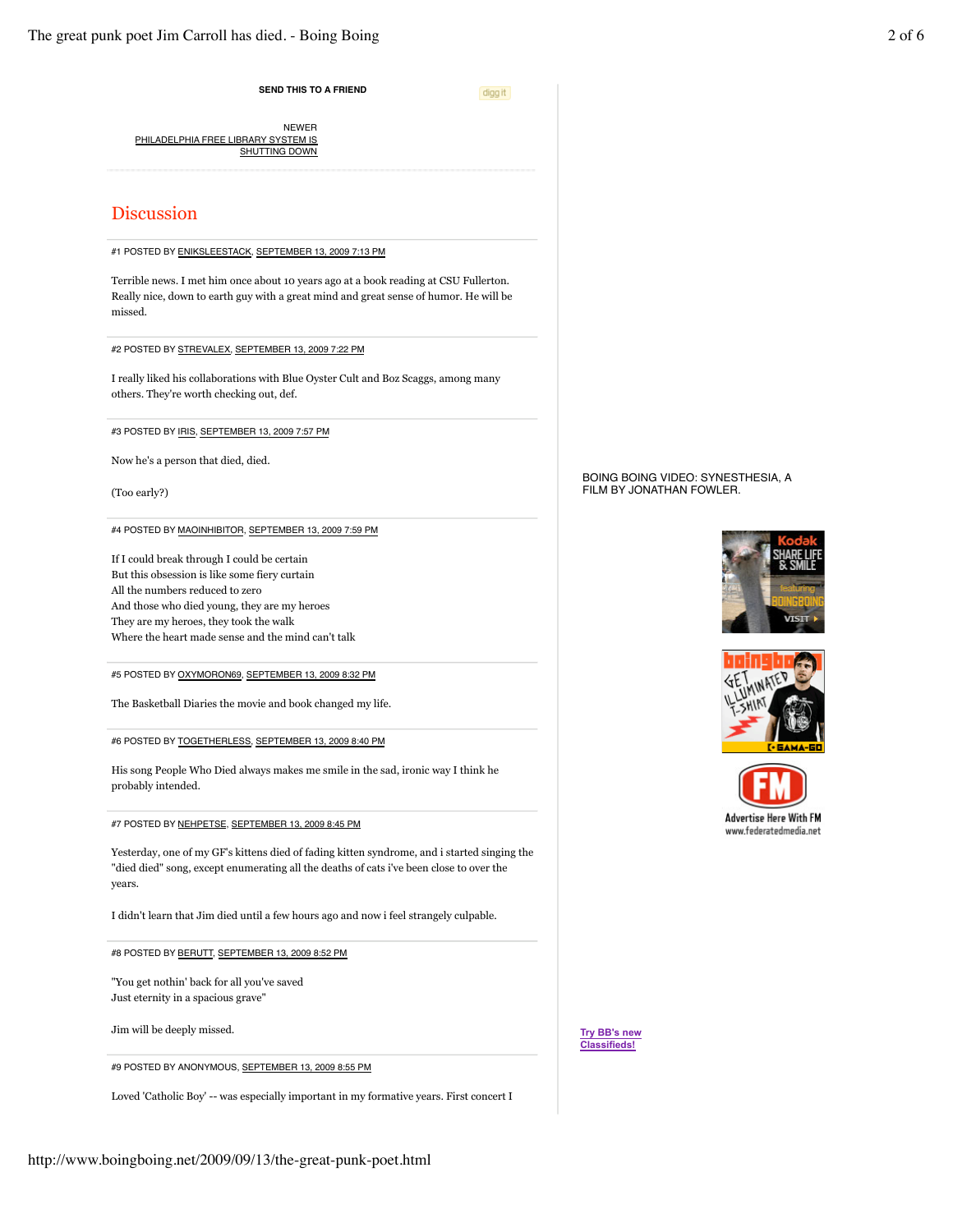**SEND THIS TO A FRIEND**

digg it

Report

PHILADELPHIA FREE LIBRARY SYSTEM IS **SHUTTING DOWN** NEWER

# Discussion

#1 POSTED BY ENIKSLEESTACK, SEPTEMBER 13, 2009 7:13 PM

Terrible news. I met him once about 10 years ago at a book reading at CSU Fullerton. Really nice, down to earth guy with a great mind and great sense of humor. He will be missed.

#2 POSTED BY STREVALEX, SEPTEMBER 13, 2009 7:22 PM

I really liked his collaborations with Blue Oyster Cult and Boz Scaggs, among many others. They're worth checking out, def.

#3 POSTED BY IRIS, SEPTEMBER 13, 2009 7:57 PM

Now he's a person that died, died.

(Too early?)

#4 POSTED BY MAOINHIBITOR, SEPTEMBER 13, 2009 7:59 PM

If I could break through I could be certain But this obsession is like some fiery curtain All the numbers reduced to zero And those who died young, they are my heroes They are my heroes, they took the walk Where the heart made sense and the mind can't talk

#5 POSTED BY OXYMORON69, SEPTEMBER 13, 2009 8:32 PM

The Basketball Diaries the movie and book changed my life.

#6 POSTED BY TOGETHERLESS, SEPTEMBER 13, 2009 8:40 PM

His song People Who Died always makes me smile in the sad, ironic way I think he probably intended.

#7 POSTED BY NEHPETSE, SEPTEMBER 13, 2009 8:45 PM

Yesterday, one of my GF's kittens died of fading kitten syndrome, and i started singing the "died died" song, except enumerating all the deaths of cats i've been close to over the years.

I didn't learn that Jim died until a few hours ago and now i feel strangely culpable.

#8 POSTED BY BERUTT, SEPTEMBER 13, 2009 8:52 PM

"You get nothin' back for all you've saved Just eternity in a spacious grave"

Jim will be deeply missed.

#9 POSTED BY ANONYMOUS, SEPTEMBER 13, 2009 8:55 PM

Loved 'Catholic Boy' -- was especially important in my formative years. First concert I

BOING BOING VIDEO: SYNESTHESIA, A FILM BY JONATHAN FOWLER.







**Try BB's new Classifieds!**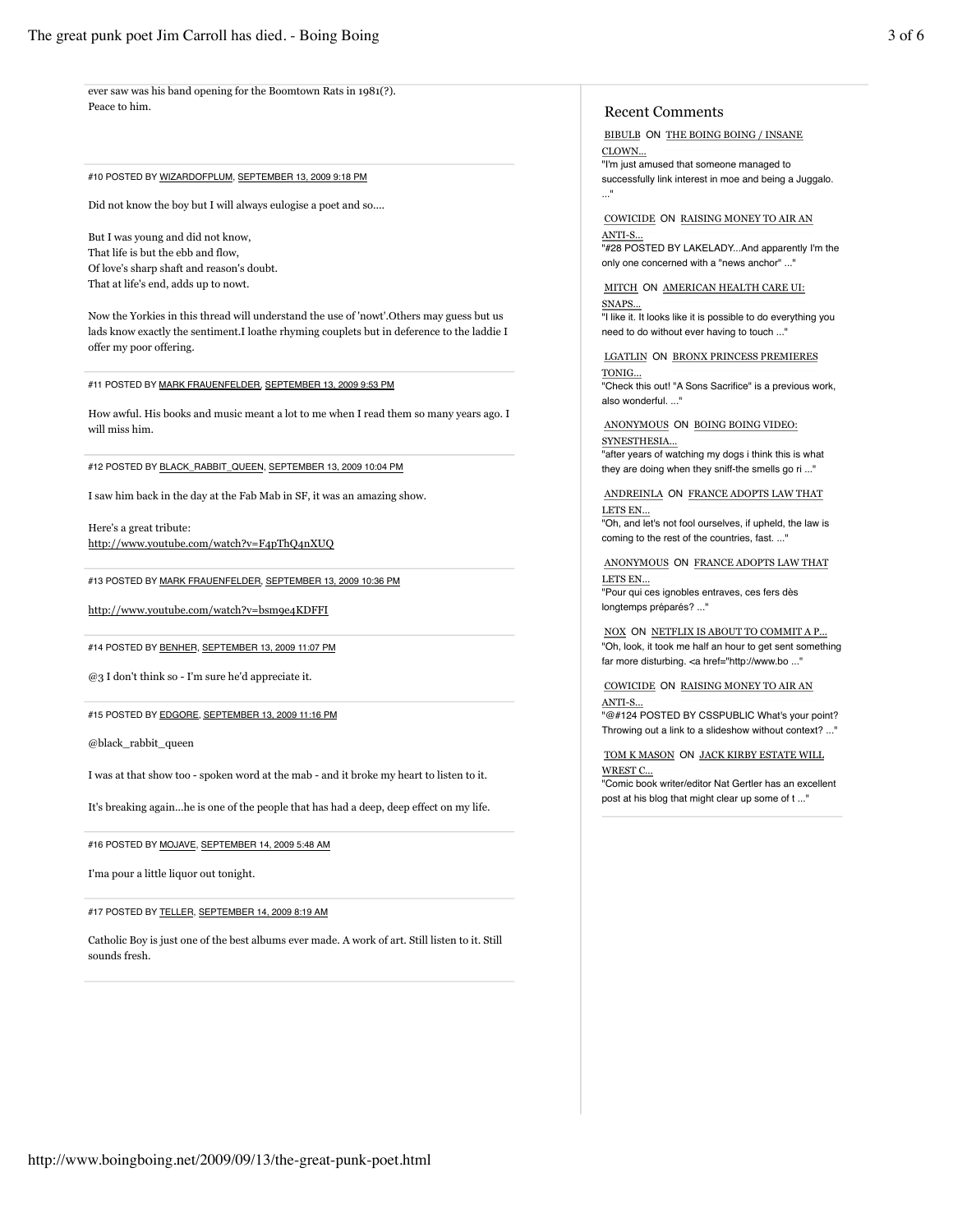ever saw was his band opening for the Boomtown Rats in 1981(?). Peace to him.

#### #10 POSTED BY WIZARDOFPLUM, SEPTEMBER 13, 2009 9:18 PM

Did not know the boy but I will always eulogise a poet and so....

But I was young and did not know, That life is but the ebb and flow, Of love's sharp shaft and reason's doubt. That at life's end, adds up to nowt.

Now the Yorkies in this thread will understand the use of 'nowt'.Others may guess but us lads know exactly the sentiment.I loathe rhyming couplets but in deference to the laddie I offer my poor offering.

#11 POSTED BY MARK FRAUENFELDER, SEPTEMBER 13, 2009 9:53 PM

How awful. His books and music meant a lot to me when I read them so many years ago. I will miss him.

#12 POSTED BY BLACK\_RABBIT\_QUEEN, SEPTEMBER 13, 2009 10:04 PM

I saw him back in the day at the Fab Mab in SF, it was an amazing show.

Here's a great tribute: http://www.youtube.com/watch?v=F4pThQ4nXUQ

#13 POSTED BY MARK FRAUENFELDER, SEPTEMBER 13, 2009 10:36 PM

http://www.youtube.com/watch?v=bsm9e4KDFFI

#14 POSTED BY BENHER, SEPTEMBER 13, 2009 11:07 PM

@3 I don't think so - I'm sure he'd appreciate it.

#15 POSTED BY EDGORE, SEPTEMBER 13, 2009 11:16 PM

@black\_rabbit\_queen

I was at that show too - spoken word at the mab - and it broke my heart to listen to it.

It's breaking again...he is one of the people that has had a deep, deep effect on my life.

#16 POSTED BY MOJAVE, SEPTEMBER 14, 2009 5:48 AM

I'ma pour a little liquor out tonight.

#17 POSTED BY TELLER, SEPTEMBER 14, 2009 8:19 AM

Catholic Boy is just one of the best albums ever made. A work of art. Still listen to it. Still sounds fresh.

# Recent Comments

BIBULB ON THE BOING BOING / INSANE CLOWN... "I'm just amused that someone managed to successfully link interest in moe and being a Juggalo. ..."

COWICIDE ON RAISING MONEY TO AIR AN ANTI-S. "#28 POSTED BY LAKELADY...And apparently I'm the

only one concerned with a "news anchor" ...'

MITCH ON AMERICAN HEALTH CARE UI:

SNAPS... "I like it. It looks like it is possible to do everything you need to do without ever having to touch ..."

LGATLIN ON BRONX PRINCESS PREMIERES TONIG... "Check this out! "A Sons Sacrifice" is a previous work, also wonderful.

Report

ANONYMOUS ON BOING BOING VIDEO: SYNESTHESIA... "after years of watching my dogs i think this is what they are doing when they sniff-the smells go ri ..."

ANDREINLA ON FRANCE ADOPTS LAW THAT LETS EN...

"Oh, and let's not fool ourselves, if upheld, the law is coming to the rest of the countries, fast. ..."

ANONYMOUS ON FRANCE ADOPTS LAW THAT LETS EN... "Pour qui ces ignobles entraves, ces fers dès longtemps préparés? ..."

NOX ON NETFLIX IS ABOUT TO COMMIT A P... "Oh, look, it took me half an hour to get sent something far more disturbing. <a href="http://www.bo ..."

COWICIDE ON RAISING MONEY TO AIR AN ANTI-S... "@#124 POSTED BY CSSPUBLIC What's your point? Throwing out a link to a slideshow without context? ..."

TOM K MASON ON JACK KIRBY ESTATE WILL WREST C... "Comic book writer/editor Nat Gertler has an excellent post at his blog that might clear up some of t ..."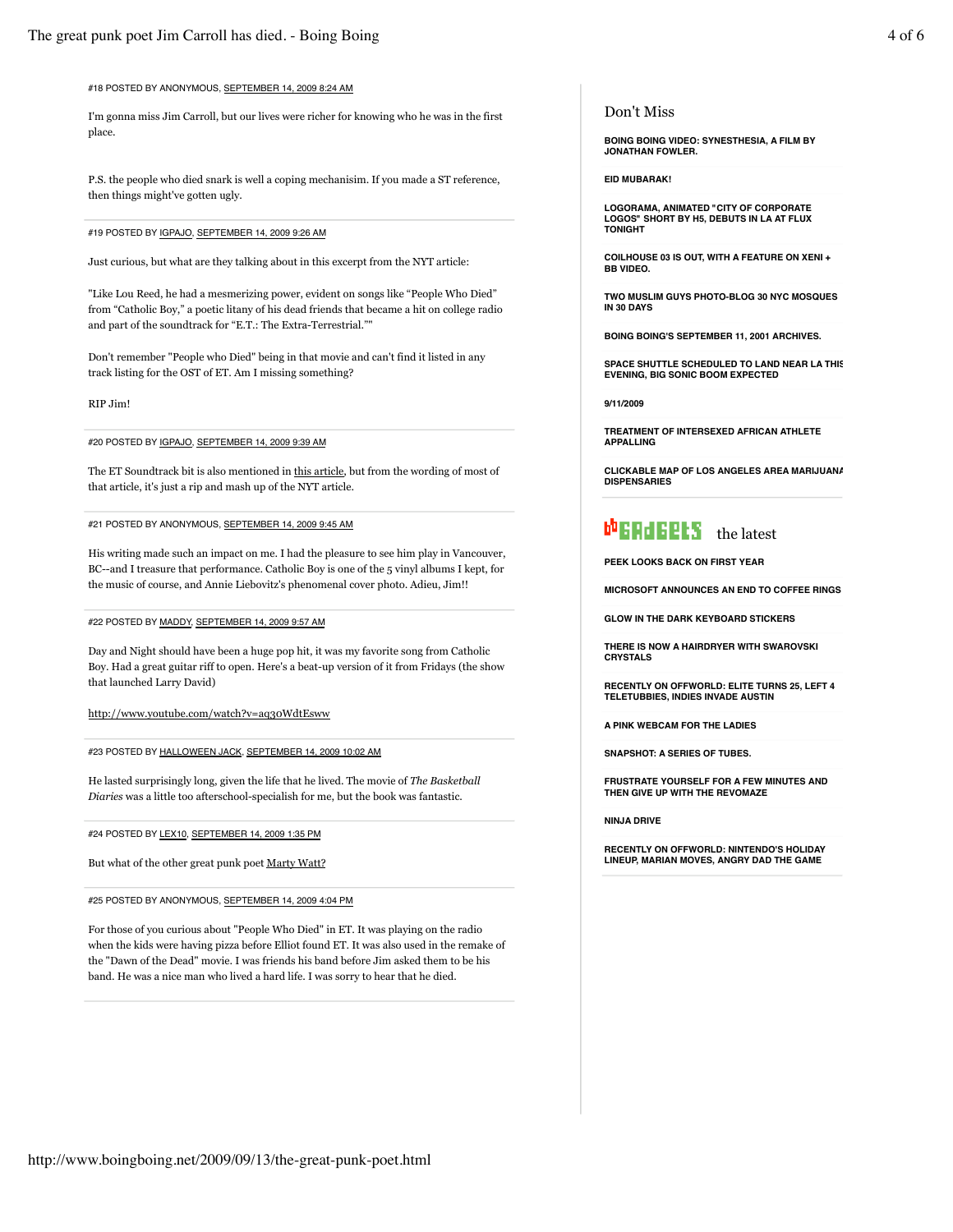#### #18 POSTED BY ANONYMOUS, SEPTEMBER 14, 2009 8:24 AM

I'm gonna miss Jim Carroll, but our lives were richer for knowing who he was in the first place.

P.S. the people who died snark is well a coping mechanisim. If you made a ST reference, then things might've gotten ugly.

#### #19 POSTED BY IGPAJO, SEPTEMBER 14, 2009 9:26 AM

Just curious, but what are they talking about in this excerpt from the NYT article:

"Like Lou Reed, he had a mesmerizing power, evident on songs like "People Who Died" from "Catholic Boy," a poetic litany of his dead friends that became a hit on college radio and part of the soundtrack for "E.T.: The Extra-Terrestrial.""

Don't remember "People who Died" being in that movie and can't find it listed in any track listing for the OST of ET. Am I missing something?

RIP Jim!

#### #20 POSTED BY IGPAJO, SEPTEMBER 14, 2009 9:39 AM

The ET Soundtrack bit is also mentioned in this article, but from the wording of most of that article, it's just a rip and mash up of the NYT article.

### #21 POSTED BY ANONYMOUS, SEPTEMBER 14, 2009 9:45 AM

His writing made such an impact on me. I had the pleasure to see him play in Vancouver, BC--and I treasure that performance. Catholic Boy is one of the 5 vinyl albums I kept, for the music of course, and Annie Liebovitz's phenomenal cover photo. Adieu, Jim!!

#### #22 POSTED BY MADDY, SEPTEMBER 14, 2009 9:57 AM

Day and Night should have been a huge pop hit, it was my favorite song from Catholic Boy. Had a great guitar riff to open. Here's a beat-up version of it from Fridays (the show that launched Larry David)

http://www.youtube.com/watch?v=aq30WdtEsww

#### #23 POSTED BY HALLOWEEN JACK, SEPTEMBER 14, 2009 10:02 AM

He lasted surprisingly long, given the life that he lived. The movie of *The Basketball Diaries* was a little too afterschool-specialish for me, but the book was fantastic.

#24 POSTED BY LEX10, SEPTEMBER 14, 2009 1:35 PM

But what of the other great punk poet Marty Watt?

#25 POSTED BY ANONYMOUS, SEPTEMBER 14, 2009 4:04 PM

For those of you curious about "People Who Died" in ET. It was playing on the radio when the kids were having pizza before Elliot found ET. It was also used in the remake of the "Dawn of the Dead" movie. I was friends his band before Jim asked them to be his band. He was a nice man who lived a hard life. I was sorry to hear that he died.

#### Don't Miss

**BOING BOING VIDEO: SYNESTHESIA, A FILM BY JONATHAN FOWLER.**

#### **EID MUBARAK!**

**LOGORAMA, ANIMATED "CITY OF CORPORATE LOGOS" SHORT BY H5, DEBUTS IN LA AT FLUX TONIGHT**

**COILHOUSE 03 IS OUT, WITH A FEATURE ON XENI + BB VIDEO.**

**TWO MUSLIM GUYS PHOTO-BLOG 30 NYC MOSQUES IN 30 DAYS**

**BOING BOING'S SEPTEMBER 11, 2001 ARCHIVES.**

**SPACE SHUTTLE SCHEDULED TO LAND NEAR LA THIS EVENING, BIG SONIC BOOM EXPECTED**

**9/11/2009**

**TREATMENT OF INTERSEXED AFRICAN ATHLETE APPALLING**

**CLICKABLE MAP OF LOS ANGELES AREA MARIJUANA DISPENSARIES**

# the latest structure the latest

**PEEK LOOKS BACK ON FIRST YEAR**

**MICROSOFT ANNOUNCES AN END TO COFFEE RINGS**

**GLOW IN THE DARK KEYBOARD STICKERS**

**THERE IS NOW A HAIRDRYER WITH SWAROVSKI CRYSTALS**

**RECENTLY ON OFFWORLD: ELITE TURNS 25, LEFT 4 TELETUBBIES, INDIES INVADE AUSTIN**

**A PINK WEBCAM FOR THE LADIES**

**SNAPSHOT: A SERIES OF TUBES.**

**FRUSTRATE YOURSELF FOR A FEW MINUTES AND THEN GIVE UP WITH THE REVOMAZE**

**NINJA DRIVE**

Report

**RECENTLY ON OFFWORLD: NINTENDO'S HOLIDAY LINEUP, MARIAN MOVES, ANGRY DAD THE GAME**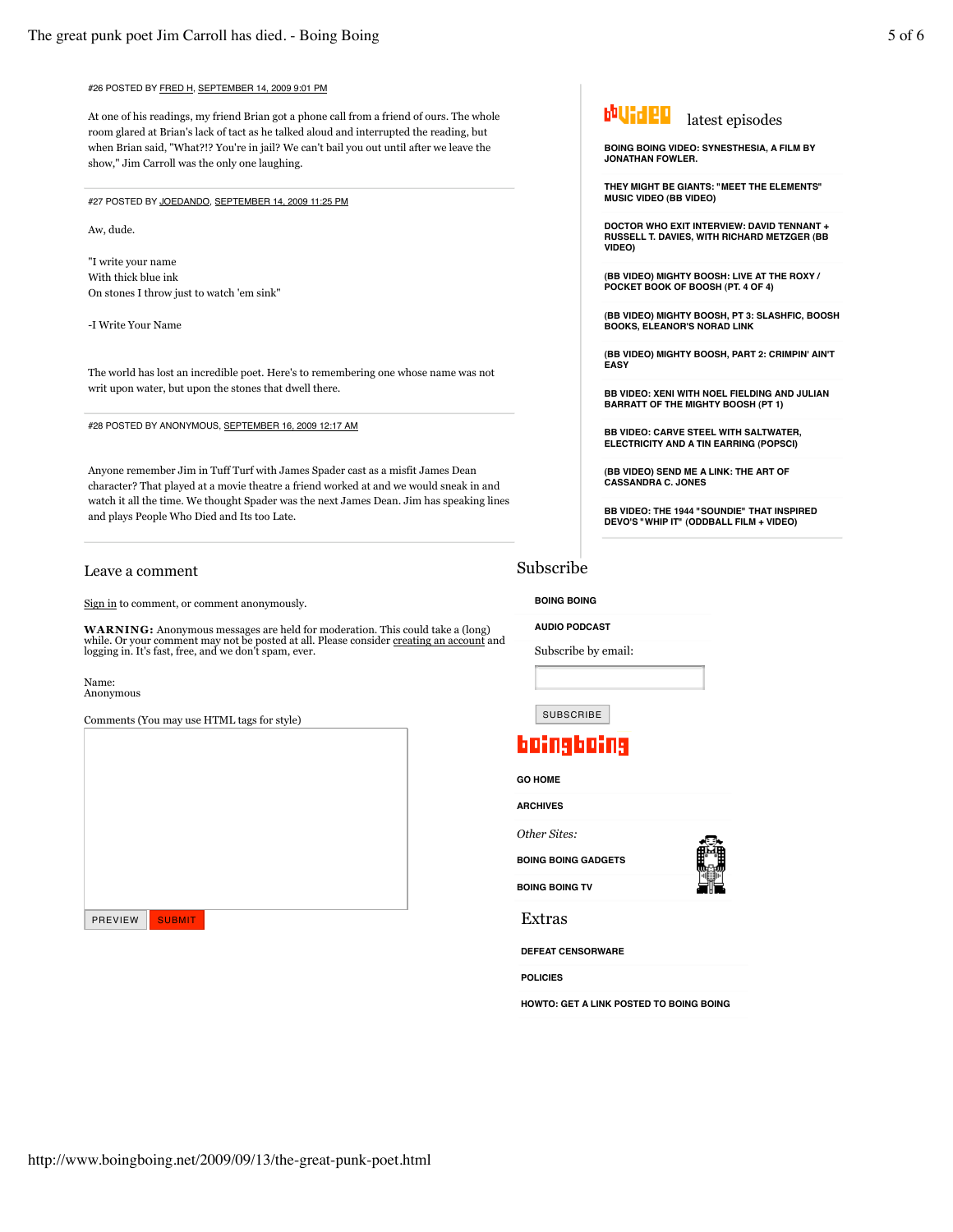## #26 POSTED BY FRED H, SEPTEMBER 14, 2009 9:01 PM

At one of his readings, my friend Brian got a phone call from a friend of ours. The whole room glared at Brian's lack of tact as he talked aloud and interrupted the reading, but when Brian said, "What?!? You're in jail? We can't bail you out until after we leave the show," Jim Carroll was the only one laughing.

#27 POSTED BY JOEDANDO, SEPTEMBER 14, 2009 11:25 PM

Aw, dude.

"I write your name With thick blue ink On stones I throw just to watch 'em sink"

-I Write Your Name

The world has lost an incredible poet. Here's to remembering one whose name was not writ upon water, but upon the stones that dwell there.

#28 POSTED BY ANONYMOUS, SEPTEMBER 16, 2009 12:17 AM

Anyone remember Jim in Tuff Turf with James Spader cast as a misfit James Dean character? That played at a movie theatre a friend worked at and we would sneak in and watch it all the time. We thought Spader was the next James Dean. Jim has speaking lines and plays People Who Died and Its too Late.

### Leave a comment

Sign in to comment, or comment anonymously.

**WARNING:** Anonymous messages are held for moderation. This could take a (long)<br>while. Or your comment may not be posted at all. Please consider <u>creating an account</u> and<br>logging in. It's fast, free, and we don't spam, eve

Name: Anonymous

Comments (You may use HTML tags for style)

| PREVIEW | <b>SUBMIT</b> |  |  |
|---------|---------------|--|--|

**BOING BOING VIDEO: SYNESTHESIA, A FILM BY JONATHAN FOWLER.**

**THEY MIGHT BE GIANTS: "MEET THE ELEMENTS" MUSIC VIDEO (BB VIDEO)**

**DOCTOR WHO EXIT INTERVIEW: DAVID TENNANT + RUSSELL T. DAVIES, WITH RICHARD METZGER (BB VIDEO)**

**(BB VIDEO) MIGHTY BOOSH: LIVE AT THE ROXY / POCKET BOOK OF BOOSH (PT. 4 OF 4)**

**(BB VIDEO) MIGHTY BOOSH, PT 3: SLASHFIC, BOOSH BOOKS, ELEANOR'S NORAD LINK**

**(BB VIDEO) MIGHTY BOOSH, PART 2: CRIMPIN' AIN'T EASY**

**BB VIDEO: XENI WITH NOEL FIELDING AND JULIAN BARRATT OF THE MIGHTY BOOSH (PT 1)**

**BB VIDEO: CARVE STEEL WITH SALTWATER, ELECTRICITY AND A TIN EARRING (POPSCI)**

**(BB VIDEO) SEND ME A LINK: THE ART OF CASSANDRA C. JONES**

**BB VIDEO: THE 1944 "SOUNDIE" THAT INSPIRED DEVO'S "WHIP IT" (ODDBALL FILM + VIDEO)**

# Subscribe

**BOING BOING**

**AUDIO PODCAST**

Subscribe by email:

SUBSCRIBE

# boingboing

**GO HOME**

**ARCHIVES**

*Other Sites:*

**BOING BOING GADGETS**

**BOING BOING TV**

Extras

**DEFEAT CENSORWARE**

**POLICIES**

**HOWTO: GET A LINK POSTED TO BOING BOING**